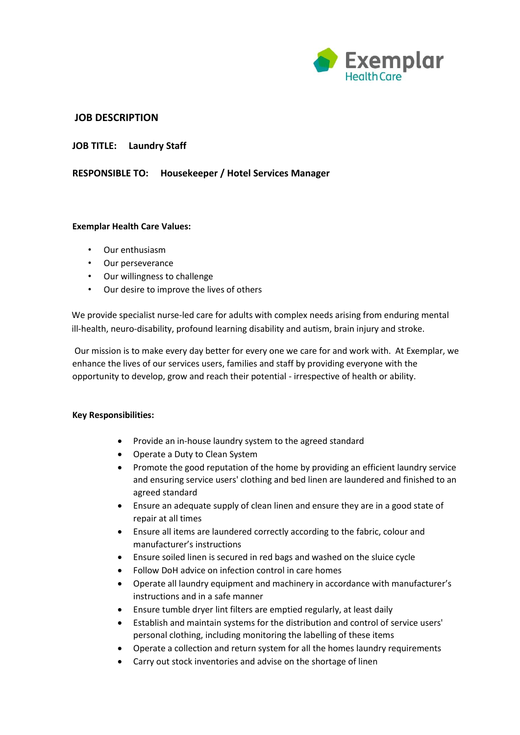

# **JOB DESCRIPTION**

**JOB TITLE: Laundry Staff**

## **RESPONSIBLE TO: Housekeeper / Hotel Services Manager**

### **Exemplar Health Care Values:**

- Our enthusiasm
- Our perseverance
- Our willingness to challenge
- Our desire to improve the lives of others

We provide specialist nurse-led care for adults with complex needs arising from enduring mental ill-health, neuro-disability, profound learning disability and autism, brain injury and stroke.

Our mission is to make every day better for every one we care for and work with. At Exemplar, we enhance the lives of our services users, families and staff by providing everyone with the opportunity to develop, grow and reach their potential - irrespective of health or ability.

### **Key Responsibilities:**

- Provide an in-house laundry system to the agreed standard
- Operate a Duty to Clean System
- Promote the good reputation of the home by providing an efficient laundry service and ensuring service users' clothing and bed linen are laundered and finished to an agreed standard
- Ensure an adequate supply of clean linen and ensure they are in a good state of repair at all times
- Ensure all items are laundered correctly according to the fabric, colour and manufacturer's instructions
- Ensure soiled linen is secured in red bags and washed on the sluice cycle
- Follow DoH advice on infection control in care homes
- Operate all laundry equipment and machinery in accordance with manufacturer's instructions and in a safe manner
- Ensure tumble dryer lint filters are emptied regularly, at least daily
- Establish and maintain systems for the distribution and control of service users' personal clothing, including monitoring the labelling of these items
- Operate a collection and return system for all the homes laundry requirements
- Carry out stock inventories and advise on the shortage of linen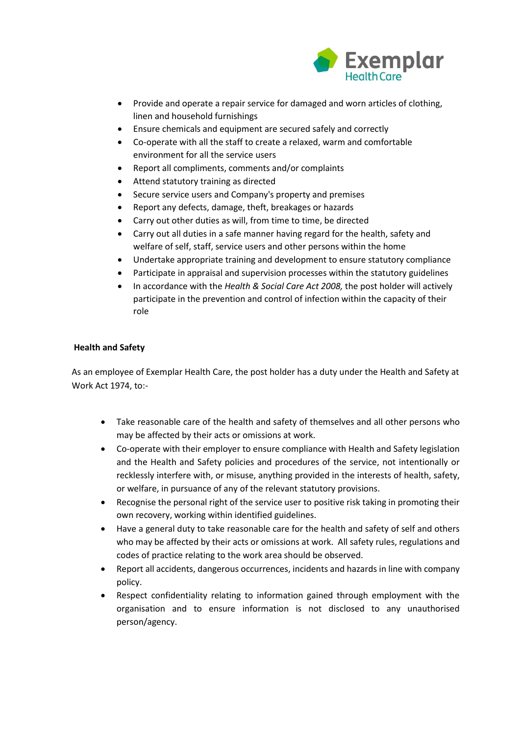

- Provide and operate a repair service for damaged and worn articles of clothing, linen and household furnishings
- Ensure chemicals and equipment are secured safely and correctly
- Co-operate with all the staff to create a relaxed, warm and comfortable environment for all the service users
- Report all compliments, comments and/or complaints
- Attend statutory training as directed
- Secure service users and Company's property and premises
- Report any defects, damage, theft, breakages or hazards
- Carry out other duties as will, from time to time, be directed
- Carry out all duties in a safe manner having regard for the health, safety and welfare of self, staff, service users and other persons within the home
- Undertake appropriate training and development to ensure statutory compliance
- Participate in appraisal and supervision processes within the statutory guidelines
- In accordance with the *Health & Social Care Act 2008,* the post holder will actively participate in the prevention and control of infection within the capacity of their role

## **Health and Safety**

As an employee of Exemplar Health Care, the post holder has a duty under the Health and Safety at Work Act 1974, to:-

- Take reasonable care of the health and safety of themselves and all other persons who may be affected by their acts or omissions at work.
- Co-operate with their employer to ensure compliance with Health and Safety legislation and the Health and Safety policies and procedures of the service, not intentionally or recklessly interfere with, or misuse, anything provided in the interests of health, safety, or welfare, in pursuance of any of the relevant statutory provisions.
- Recognise the personal right of the service user to positive risk taking in promoting their own recovery, working within identified guidelines.
- Have a general duty to take reasonable care for the health and safety of self and others who may be affected by their acts or omissions at work. All safety rules, regulations and codes of practice relating to the work area should be observed.
- Report all accidents, dangerous occurrences, incidents and hazards in line with company policy.
- Respect confidentiality relating to information gained through employment with the organisation and to ensure information is not disclosed to any unauthorised person/agency.